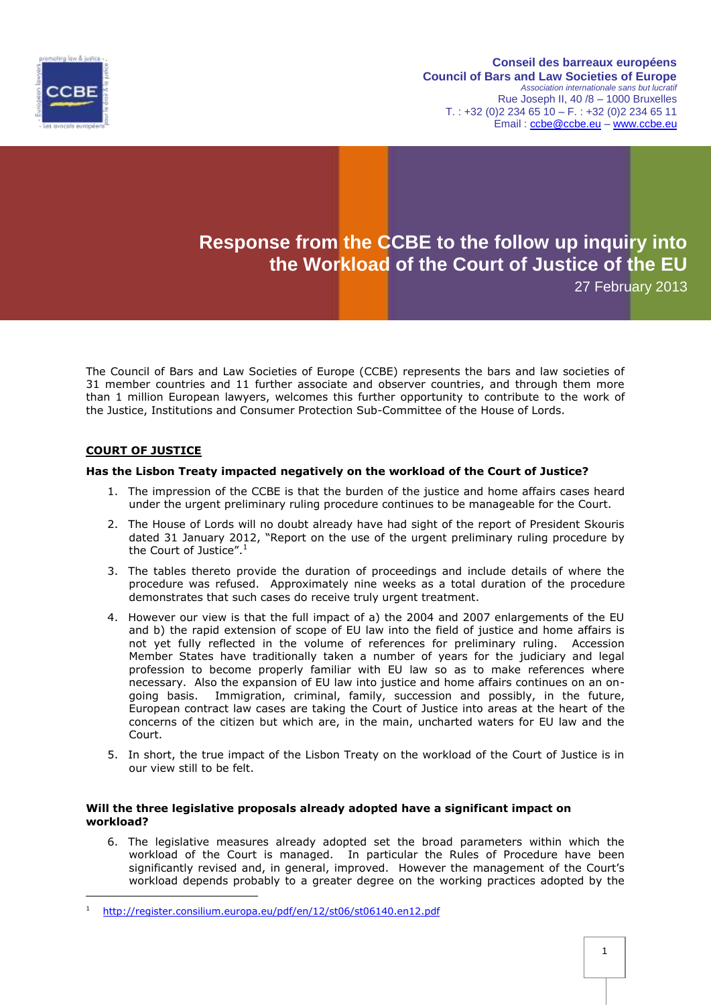

#### **Conseil des barreaux européens Council of Bars and Law Societies of Europe** *Association internationale sans but lucratif* Rue Joseph II, 40 /8 – 1000 Bruxelles  $T. : +32 (0)2 234 65 10 - F. : +32 (0)2 234 65 11$ Email : [ccbe@ccbe.eu](mailto:ccbe@ccbe.eu) – [www.ccbe.eu](http://www.ccbe.eu/)

# **Response from the CCBE to the follow up inquiry into the Workload of the Court of Justice of the EU**

27 February 2013

The Council of Bars and Law Societies of Europe (CCBE) represents the bars and law societies of 31 member countries and 11 further associate and observer countries, and through them more than 1 million European lawyers, welcomes this further opportunity to contribute to the work of the Justice, Institutions and Consumer Protection Sub-Committee of the House of Lords.

# **COURT OF JUSTICE**

-

## **Has the Lisbon Treaty impacted negatively on the workload of the Court of Justice?**

- 1. The impression of the CCBE is that the burden of the justice and home affairs cases heard under the urgent preliminary ruling procedure continues to be manageable for the Court.
- 2. The House of Lords will no doubt already have had sight of the report of President Skouris dated 31 January 2012, "Report on the use of the urgent preliminary ruling procedure by the Court of Justice". $1$
- 3. The tables thereto provide the duration of proceedings and include details of where the procedure was refused. Approximately nine weeks as a total duration of the procedure demonstrates that such cases do receive truly urgent treatment.
- 4. However our view is that the full impact of a) the 2004 and 2007 enlargements of the EU and b) the rapid extension of scope of EU law into the field of justice and home affairs is not yet fully reflected in the volume of references for preliminary ruling. Accession Member States have traditionally taken a number of years for the judiciary and legal profession to become properly familiar with EU law so as to make references where necessary. Also the expansion of EU law into justice and home affairs continues on an ongoing basis. Immigration, criminal, family, succession and possibly, in the future, European contract law cases are taking the Court of Justice into areas at the heart of the concerns of the citizen but which are, in the main, uncharted waters for EU law and the Court.
- 5. In short, the true impact of the Lisbon Treaty on the workload of the Court of Justice is in our view still to be felt.

## **Will the three legislative proposals already adopted have a significant impact on workload?**

6. The legislative measures already adopted set the broad parameters within which the workload of the Court is managed. In particular the Rules of Procedure have been significantly revised and, in general, improved. However the management of the Court's workload depends probably to a greater degree on the working practices adopted by the

<sup>1</sup> <http://register.consilium.europa.eu/pdf/en/12/st06/st06140.en12.pdf>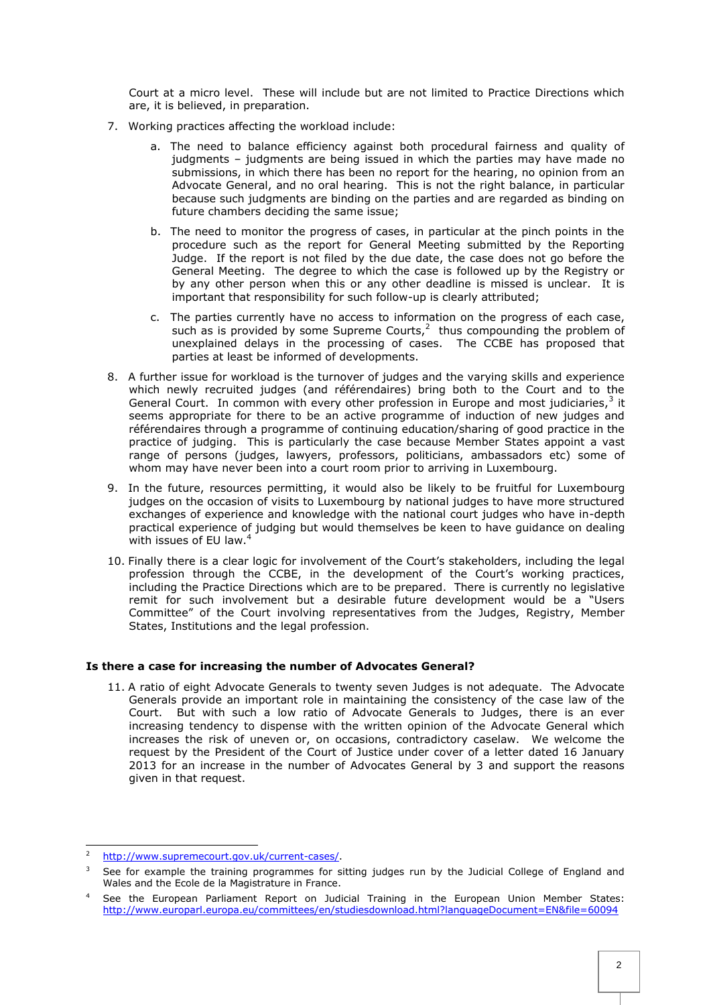Court at a micro level. These will include but are not limited to Practice Directions which are, it is believed, in preparation.

- 7. Working practices affecting the workload include:
	- a. The need to balance efficiency against both procedural fairness and quality of judgments – judgments are being issued in which the parties may have made no submissions, in which there has been no report for the hearing, no opinion from an Advocate General, and no oral hearing. This is not the right balance, in particular because such judgments are binding on the parties and are regarded as binding on future chambers deciding the same issue;
	- b. The need to monitor the progress of cases, in particular at the pinch points in the procedure such as the report for General Meeting submitted by the Reporting Judge. If the report is not filed by the due date, the case does not go before the General Meeting. The degree to which the case is followed up by the Registry or by any other person when this or any other deadline is missed is unclear. It is important that responsibility for such follow-up is clearly attributed;
	- c. The parties currently have no access to information on the progress of each case, such as is provided by some Supreme Courts, $^2$  thus compounding the problem of unexplained delays in the processing of cases. The CCBE has proposed that parties at least be informed of developments.
- 8. A further issue for workload is the turnover of judges and the varying skills and experience which newly recruited judges (and référendaires) bring both to the Court and to the General Court. In common with every other profession in Europe and most judiciaries, $3$  it seems appropriate for there to be an active programme of induction of new judges and référendaires through a programme of continuing education/sharing of good practice in the practice of judging. This is particularly the case because Member States appoint a vast range of persons (judges, lawyers, professors, politicians, ambassadors etc) some of whom may have never been into a court room prior to arriving in Luxembourg.
- 9. In the future, resources permitting, it would also be likely to be fruitful for Luxembourg judges on the occasion of visits to Luxembourg by national judges to have more structured exchanges of experience and knowledge with the national court judges who have in-depth practical experience of judging but would themselves be keen to have guidance on dealing with issues of EU law.<sup>4</sup>
- 10. Finally there is a clear logic for involvement of the Court's stakeholders, including the legal profession through the CCBE, in the development of the Court's working practices, including the Practice Directions which are to be prepared. There is currently no legislative remit for such involvement but a desirable future development would be a "Users Committee" of the Court involving representatives from the Judges, Registry, Member States, Institutions and the legal profession.

## **Is there a case for increasing the number of Advocates General?**

11. A ratio of eight Advocate Generals to twenty seven Judges is not adequate. The Advocate Generals provide an important role in maintaining the consistency of the case law of the Court. But with such a low ratio of Advocate Generals to Judges, there is an ever increasing tendency to dispense with the written opinion of the Advocate General which increases the risk of uneven or, on occasions, contradictory caselaw. We welcome the request by the President of the Court of Justice under cover of a letter dated 16 January 2013 for an increase in the number of Advocates General by 3 and support the reasons given in that request.

-

<sup>2</sup> [http://www.supremecourt.gov.uk/current-cases/.](http://www.supremecourt.gov.uk/current-cases/)

<sup>3</sup> See for example the training programmes for sitting judges run by the Judicial College of England and Wales and the Ecole de la Magistrature in France.

<sup>4</sup> See the European Parliament Report on Judicial Training in the European Union Member States: <http://www.europarl.europa.eu/committees/en/studiesdownload.html?languageDocument=EN&file=60094>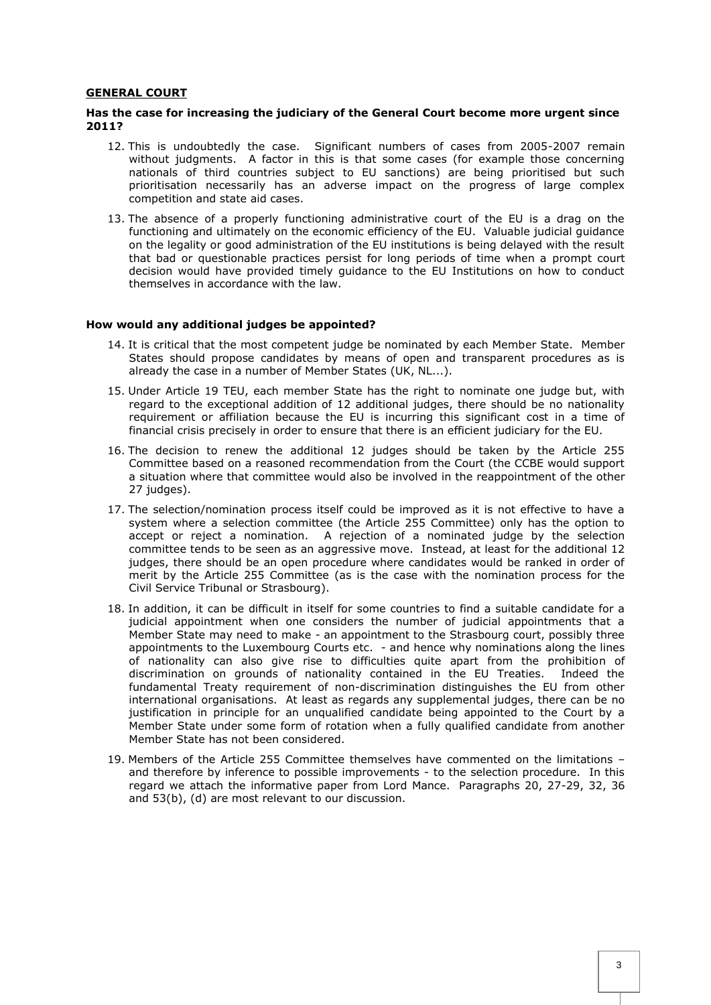## **GENERAL COURT**

## **Has the case for increasing the judiciary of the General Court become more urgent since 2011?**

- 12. This is undoubtedly the case. Significant numbers of cases from 2005-2007 remain without judgments. A factor in this is that some cases (for example those concerning nationals of third countries subject to EU sanctions) are being prioritised but such prioritisation necessarily has an adverse impact on the progress of large complex competition and state aid cases.
- 13. The absence of a properly functioning administrative court of the EU is a drag on the functioning and ultimately on the economic efficiency of the EU. Valuable judicial guidance on the legality or good administration of the EU institutions is being delayed with the result that bad or questionable practices persist for long periods of time when a prompt court decision would have provided timely guidance to the EU Institutions on how to conduct themselves in accordance with the law.

#### **How would any additional judges be appointed?**

- 14. It is critical that the most competent judge be nominated by each Member State. Member States should propose candidates by means of open and transparent procedures as is already the case in a number of Member States (UK, NL...).
- 15. Under Article 19 TEU, each member State has the right to nominate one judge but, with regard to the exceptional addition of 12 additional judges, there should be no nationality requirement or affiliation because the EU is incurring this significant cost in a time of financial crisis precisely in order to ensure that there is an efficient judiciary for the EU.
- 16. The decision to renew the additional 12 judges should be taken by the Article 255 Committee based on a reasoned recommendation from the Court (the CCBE would support a situation where that committee would also be involved in the reappointment of the other 27 judges).
- 17. The selection/nomination process itself could be improved as it is not effective to have a system where a selection committee (the Article 255 Committee) only has the option to accept or reject a nomination. A rejection of a nominated judge by the selection committee tends to be seen as an aggressive move. Instead, at least for the additional 12 judges, there should be an open procedure where candidates would be ranked in order of merit by the Article 255 Committee (as is the case with the nomination process for the Civil Service Tribunal or Strasbourg).
- 18. In addition, it can be difficult in itself for some countries to find a suitable candidate for a judicial appointment when one considers the number of judicial appointments that a Member State may need to make - an appointment to the Strasbourg court, possibly three appointments to the Luxembourg Courts etc. - and hence why nominations along the lines of nationality can also give rise to difficulties quite apart from the prohibition of discrimination on grounds of nationality contained in the EU Treaties. Indeed the fundamental Treaty requirement of non-discrimination distinguishes the EU from other international organisations. At least as regards any supplemental judges, there can be no justification in principle for an unqualified candidate being appointed to the Court by a Member State under some form of rotation when a fully qualified candidate from another Member State has not been considered.
- 19. Members of the Article 255 Committee themselves have commented on the limitations and therefore by inference to possible improvements - to the selection procedure. In this regard we attach the informative paper from Lord Mance. Paragraphs 20, 27-29, 32, 36 and 53(b), (d) are most relevant to our discussion.